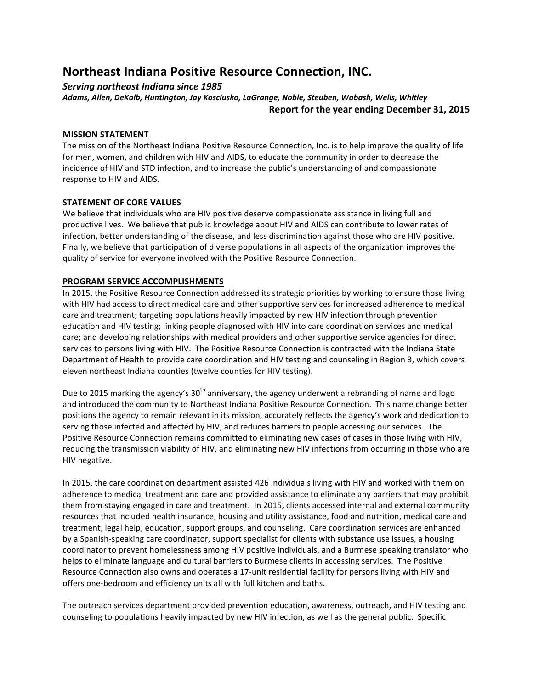## **Northeast Indiana Positive Resource Connection, INC.**

### *Serving northeast Indiana since 1985*

Adams, Allen, DeKalb, Huntington, Jay Kosciusko, LaGrange, Noble, Steuben, Wabash, Wells, Whitley **Report for the year ending December 31, 2015** 

#### **MISSION STATEMENT**

The mission of the Northeast Indiana Positive Resource Connection, Inc. is to help improve the quality of life for men, women, and children with HIV and AIDS, to educate the community in order to decrease the incidence of HIV and STD infection, and to increase the public's understanding of and compassionate response to HIV and AIDS.

#### **STATEMENT OF CORE VALUES**

We believe that individuals who are HIV positive deserve compassionate assistance in living full and productive lives. We believe that public knowledge about HIV and AIDS can contribute to lower rates of infection, better understanding of the disease, and less discrimination against those who are HIV positive. Finally, we believe that participation of diverse populations in all aspects of the organization improves the quality of service for everyone involved with the Positive Resource Connection.

#### **PROGRAM SERVICE ACCOMPLISHMENTS**

In 2015, the Positive Resource Connection addressed its strategic priorities by working to ensure those living with HIV had access to direct medical care and other supportive services for increased adherence to medical care and treatment; targeting populations heavily impacted by new HIV infection through prevention education and HIV testing; linking people diagnosed with HIV into care coordination services and medical care; and developing relationships with medical providers and other supportive service agencies for direct services to persons living with HIV. The Positive Resource Connection is contracted with the Indiana State Department of Health to provide care coordination and HIV testing and counseling in Region 3, which covers eleven northeast Indiana counties (twelve counties for HIV testing).

Due to 2015 marking the agency's 30<sup>th</sup> anniversary, the agency underwent a rebranding of name and logo and introduced the community to Northeast Indiana Positive Resource Connection. This name change better positions the agency to remain relevant in its mission, accurately reflects the agency's work and dedication to serving those infected and affected by HIV, and reduces barriers to people accessing our services. The Positive Resource Connection remains committed to eliminating new cases of cases in those living with HIV, reducing the transmission viability of HIV, and eliminating new HIV infections from occurring in those who are HIV negative.

In 2015, the care coordination department assisted 426 individuals living with HIV and worked with them on adherence to medical treatment and care and provided assistance to eliminate any barriers that may prohibit them from staying engaged in care and treatment. In 2015, clients accessed internal and external community resources that included health insurance, housing and utility assistance, food and nutrition, medical care and treatment, legal help, education, support groups, and counseling. Care coordination services are enhanced by a Spanish-speaking care coordinator, support specialist for clients with substance use issues, a housing coordinator to prevent homelessness among HIV positive individuals, and a Burmese speaking translator who helps to eliminate language and cultural barriers to Burmese clients in accessing services. The Positive Resource Connection also owns and operates a 17-unit residential facility for persons living with HIV and offers one-bedroom and efficiency units all with full kitchen and baths.

The outreach services department provided prevention education, awareness, outreach, and HIV testing and counseling to populations heavily impacted by new HIV infection, as well as the general public. Specific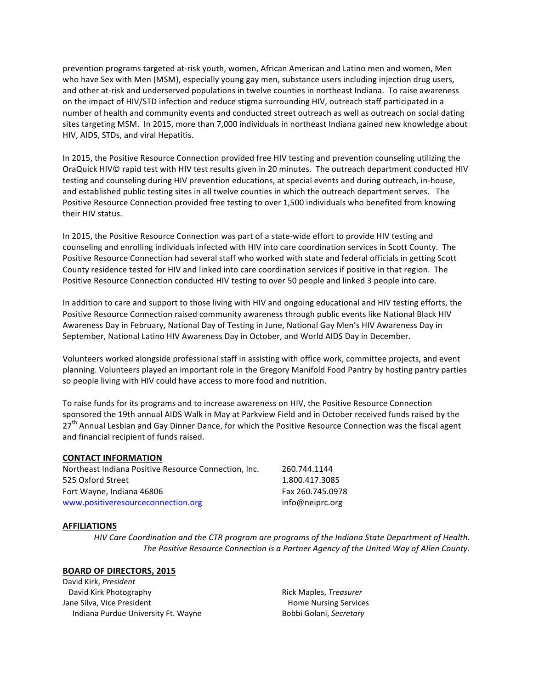prevention programs targeted at-risk youth, women, African American and Latino men and women, Men who have Sex with Men (MSM), especially young gay men, substance users including injection drug users, and other at-risk and underserved populations in twelve counties in northeast Indiana. To raise awareness on the impact of HIV/STD infection and reduce stigma surrounding HIV, outreach staff participated in a number of health and community events and conducted street outreach as well as outreach on social dating sites targeting MSM. In 2015, more than 7,000 individuals in northeast Indiana gained new knowledge about HIV, AIDS, STDs, and viral Hepatitis.

In 2015, the Positive Resource Connection provided free HIV testing and prevention counseling utilizing the OraQuick HIV© rapid test with HIV test results given in 20 minutes. The outreach department conducted HIV testing and counseling during HIV prevention educations, at special events and during outreach, in-house, and established public testing sites in all twelve counties in which the outreach department serves. The Positive Resource Connection provided free testing to over 1,500 individuals who benefited from knowing their HIV status.

In 2015, the Positive Resource Connection was part of a state-wide effort to provide HIV testing and counseling and enrolling individuals infected with HIV into care coordination services in Scott County. The Positive Resource Connection had several staff who worked with state and federal officials in getting Scott County residence tested for HIV and linked into care coordination services if positive in that region. The Positive Resource Connection conducted HIV testing to over 50 people and linked 3 people into care.

In addition to care and support to those living with HIV and ongoing educational and HIV testing efforts, the Positive Resource Connection raised community awareness through public events like National Black HIV Awareness Day in February, National Day of Testing in June, National Gay Men's HIV Awareness Day in September, National Latino HIV Awareness Day in October, and World AIDS Day in December.

Volunteers worked alongside professional staff in assisting with office work, committee projects, and event planning. Volunteers played an important role in the Gregory Manifold Food Pantry by hosting pantry parties so people living with HIV could have access to more food and nutrition.

To raise funds for its programs and to increase awareness on HIV, the Positive Resource Connection sponsored the 19th annual AIDS Walk in May at Parkview Field and in October received funds raised by the 27<sup>th</sup> Annual Lesbian and Gay Dinner Dance, for which the Positive Resource Connection was the fiscal agent and financial recipient of funds raised.

#### **CONTACT INFORMATION**

| Northeast Indiana Positive Resource Connection, Inc. | 260.744.1144     |
|------------------------------------------------------|------------------|
| 525 Oxford Street                                    | 1.800.417.3085   |
| Fort Wayne, Indiana 46806                            | Fax 260.745.0978 |
| www.positiveresourceconnection.org                   | info@neiprc.org  |

#### **AFFILIATIONS**

*HIV Care Coordination and the CTR program are programs of the Indiana State Department of Health.* The Positive Resource Connection is a Partner Agency of the United Way of Allen County.

#### **BOARD OF DIRECTORS, 2015**

David Kirk, *President* David Kirk Photography Jane Silva, Vice President Indiana Purdue University Ft. Wayne

Rick Maples, *Treasurer* Home Nursing Services Bobbi Golani, *Secretary*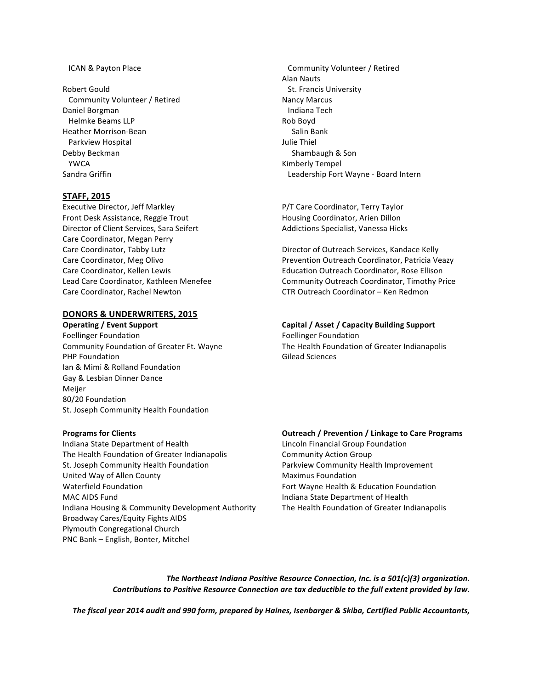#### ICAN & Payton Place

**Robert Gould**  Community Volunteer / Retired Daniel Borgman Helmke Beams LLP Heather Morrison-Bean Parkview Hospital Debby Beckman YWCA Sandra Griffin

#### **STAFF, 2015**

Executive Director, Jeff Markley Front Desk Assistance, Reggie Trout Director of Client Services, Sara Seifert Care Coordinator, Megan Perry Care Coordinator, Tabby Lutz Care Coordinator, Meg Olivo Care Coordinator, Kellen Lewis Lead Care Coordinator, Kathleen Menefee Care Coordinator, Rachel Newton

#### **DONORS & UNDERWRITERS, 2015**

Foellinger Foundation The Contract of Telecommunic Contract Telecommunic Telecommunic Telecommunic Telecommunic Telecommunic Telecommunic Telecommunic Telecommunic Telecommunic Telecommunic Telecommunic Telecommunic Teleco **PHP Foundation** *CON* **CON CON CON CON Gilead** Sciences Ian & Mimi & Rolland Foundation Gay & Lesbian Dinner Dance Meijer 80/20 Foundation St. Joseph Community Health Foundation

Indiana State Department of Health Lincoln Financial Group Foundation The Health Foundation of Greater Indianapolis Community Action Group St. Joseph Community Health Foundation **Parkview Community Health Improvement** United Way of Allen County **Maximus** Maximus Foundation Waterfield Foundation **Fort Wayne Health & Education Foundation** MAC AIDS Fund Indiana State Department of Health Indiana Housing & Community Development Authority The Health Foundation of Greater Indianapolis Broadway Cares/Equity Fights AIDS Plymouth Congregational Church PNC Bank - English, Bonter, Mitchel

 Community Volunteer / Retired **Alan Nauts** St. Francis University Nancy Marcus Indiana Tech Rob Boyd Salin Bank Julie Thiel Shambaugh & Son Kimberly Tempel Leadership Fort Wayne - Board Intern

P/T Care Coordinator, Terry Taylor Housing Coordinator, Arien Dillon Addictions Specialist, Vanessa Hicks

Director of Outreach Services, Kandace Kelly Prevention Outreach Coordinator, Patricia Veazy Education Outreach Coordinator, Rose Ellison Community Outreach Coordinator, Timothy Price CTR Outreach Coordinator – Ken Redmon

# **Operating** / Event Support **Capital Capital** / Asset / Capacity Building Support

Community Foundation of Greater Ft. Wayne The Health Foundation of Greater Indianapolis

#### **Programs for Clients CLIENTS CLIENTS Outreach** / Prevention / Linkage to Care Programs

The Northeast Indiana Positive Resource Connection, Inc. is a 501(c)(3) organization. *Contributions to Positive Resource Connection are tax deductible to the full extent provided by law.* 

*The fiscal year 2014 audit and 990 form, prepared by Haines, Isenbarger & Skiba, Certified Public Accountants,*